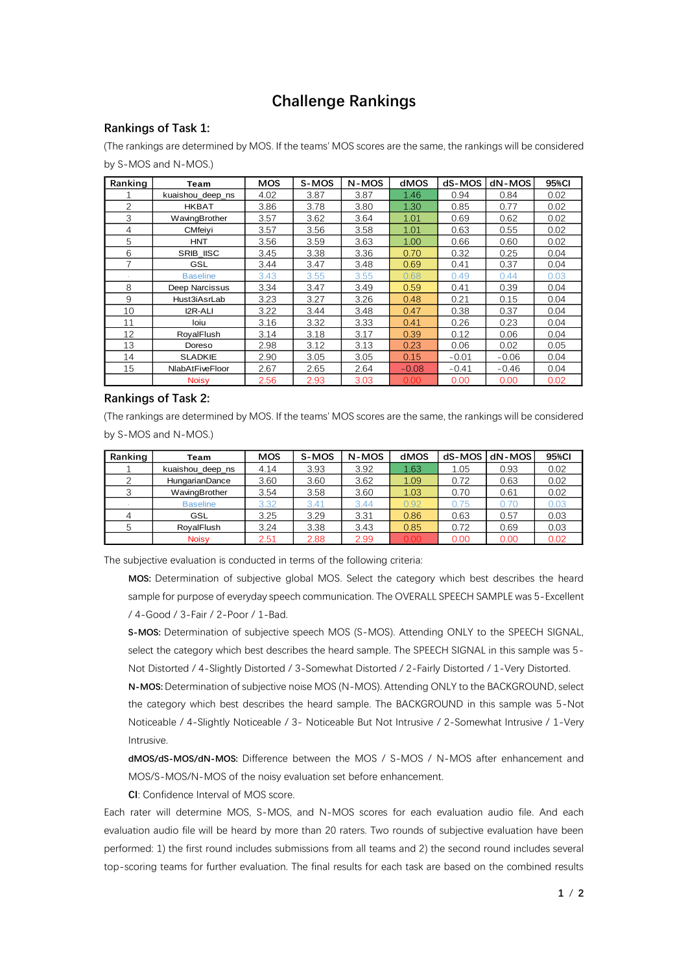## **Challenge Rankings**

## **Rankings of Task 1:**

(The rankings are determined by MOS. If the teams' MOS scores are the same, the rankings will be considered by S-MOS and N-MOS.)

| Ranking | Team             | <b>MOS</b> | S-MOS | N-MOS | dMOS    | dS-MOS  | dN-MOS  | 95%CI |
|---------|------------------|------------|-------|-------|---------|---------|---------|-------|
|         | kuaishou_deep_ns | 4.02       | 3.87  | 3.87  | 1.46    | 0.94    | 0.84    | 0.02  |
| 2       | <b>HKBAT</b>     | 3.86       | 3.78  | 3.80  | 1.30    | 0.85    | 0.77    | 0.02  |
| 3       | WavingBrother    | 3.57       | 3.62  | 3.64  | 1.01    | 0.69    | 0.62    | 0.02  |
| 4       | CMfeivi          | 3.57       | 3.56  | 3.58  | 1.01    | 0.63    | 0.55    | 0.02  |
| 5       | <b>HNT</b>       | 3.56       | 3.59  | 3.63  | 1.00    | 0.66    | 0.60    | 0.02  |
| 6       | SRIB_IISC        | 3.45       | 3.38  | 3.36  | 0.70    | 0.32    | 0.25    | 0.04  |
| 7       | <b>GSL</b>       | 3.44       | 3.47  | 3.48  | 0.69    | 0.41    | 0.37    | 0.04  |
|         | <b>Baseline</b>  | 3.43       | 3.55  | 3.55  | 0.68    | 0.49    | 0.44    | 0.03  |
| 8       | Deep Narcissus   | 3.34       | 3.47  | 3.49  | 0.59    | 0.41    | 0.39    | 0.04  |
| 9       | Hust3iAsrLab     | 3.23       | 3.27  | 3.26  | 0.48    | 0.21    | 0.15    | 0.04  |
| 10      | I2R-ALI          | 3.22       | 3.44  | 3.48  | 0.47    | 0.38    | 0.37    | 0.04  |
| 11      | loiu             | 3.16       | 3.32  | 3.33  | 0.41    | 0.26    | 0.23    | 0.04  |
| 12      | RoyalFlush       | 3.14       | 3.18  | 3.17  | 0.39    | 0.12    | 0.06    | 0.04  |
| 13      | Doreso           | 2.98       | 3.12  | 3.13  | 0.23    | 0.06    | 0.02    | 0.05  |
| 14      | <b>SLADKIE</b>   | 2.90       | 3.05  | 3.05  | 0.15    | $-0.01$ | $-0.06$ | 0.04  |
| 15      | NlabAtFiveFloor  | 2.67       | 2.65  | 2.64  | $-0.08$ | $-0.41$ | $-0.46$ | 0.04  |
|         | <b>Noisy</b>     | 2.56       | 2.93  | 3.03  | 0.00    | 0.00    | 0.00    | 0.02  |

## **Rankings of Task 2:**

(The rankings are determined by MOS. If the teams' MOS scores are the same, the rankings will be considered by S-MOS and N-MOS.)

| Ranking | Team                  | MOS  | S-MOS | N-MOS | dMOS | dS-MOS | dN-MOS | 95%CI |
|---------|-----------------------|------|-------|-------|------|--------|--------|-------|
|         | kuaishou deep ns      | 4.14 | 3.93  | 3.92  | 1.63 | 1.05   | 0.93   | 0.02  |
|         | <b>HungarianDance</b> | 3.60 | 3.60  | 3.62  | 1.09 | 0.72   | 0.63   | 0.02  |
|         | WavingBrother         | 3.54 | 3.58  | 3.60  | 1.03 | 0.70   | 0.61   | 0.02  |
|         | <b>Baseline</b>       | 3.32 | 3.41  | 3.44  | 0.92 | 0.75   | 0.70   | 0.03  |
| 4       | GSL                   | 3.25 | 3.29  | 3.31  | 0.86 | 0.63   | 0.57   | 0.03  |
| 5       | RoyalFlush            | 3.24 | 3.38  | 3.43  | 0.85 | 0.72   | 0.69   | 0.03  |
|         | <b>Noisv</b>          | 2.51 | 2.88  | 2.99  | 0.00 | 0.00   | 0.00   | 0.02  |

The subjective evaluation is conducted in terms of the following criteria:

**MOS:** Determination of subjective global MOS. Select the category which best describes the heard sample for purpose of everyday speech communication. The OVERALL SPEECH SAMPLE was 5-Excellent / 4-Good / 3-Fair / 2-Poor / 1-Bad.

**S-MOS:** Determination of subjective speech MOS (S-MOS). Attending ONLY to the SPEECH SIGNAL, select the category which best describes the heard sample. The SPEECH SIGNAL in this sample was 5- Not Distorted / 4-Slightly Distorted / 3-Somewhat Distorted / 2-Fairly Distorted / 1-Very Distorted.

**N-MOS:** Determination of subjective noise MOS (N-MOS). Attending ONLY to the BACKGROUND, select the category which best describes the heard sample. The BACKGROUND in this sample was 5-Not Noticeable / 4-Slightly Noticeable / 3- Noticeable But Not Intrusive / 2-Somewhat Intrusive / 1-Very Intrusive.

**dMOS/dS-MOS/dN-MOS:** Difference between the MOS / S-MOS / N-MOS after enhancement and MOS/S-MOS/N-MOS of the noisy evaluation set before enhancement.

**CI**: Confidence Interval of MOS score.

Each rater will determine MOS, S-MOS, and N-MOS scores for each evaluation audio file. And each evaluation audio file will be heard by more than 20 raters. Two rounds of subjective evaluation have been performed: 1) the first round includes submissions from all teams and 2) the second round includes several top-scoring teams for further evaluation. The final results for each task are based on the combined results